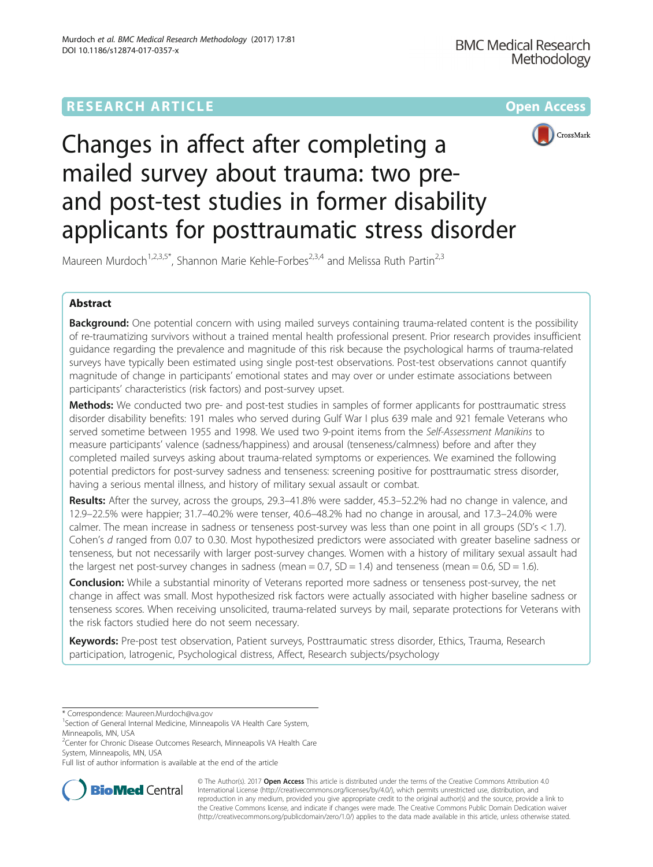# **RESEARCH ARTICLE Example 2014 12:30 The Contract of Contract Article 2014**



# Changes in affect after completing a mailed survey about trauma: two preand post-test studies in former disability applicants for posttraumatic stress disorder

Maureen Murdoch<sup>1,2,3,5\*</sup>, Shannon Marie Kehle-Forbes<sup>2,3,4</sup> and Melissa Ruth Partin<sup>2,3</sup>

# Abstract

Background: One potential concern with using mailed surveys containing trauma-related content is the possibility of re-traumatizing survivors without a trained mental health professional present. Prior research provides insufficient guidance regarding the prevalence and magnitude of this risk because the psychological harms of trauma-related surveys have typically been estimated using single post-test observations. Post-test observations cannot quantify magnitude of change in participants' emotional states and may over or under estimate associations between participants' characteristics (risk factors) and post-survey upset.

Methods: We conducted two pre- and post-test studies in samples of former applicants for posttraumatic stress disorder disability benefits: 191 males who served during Gulf War I plus 639 male and 921 female Veterans who served sometime between 1955 and 1998. We used two 9-point items from the Self-Assessment Manikins to measure participants' valence (sadness/happiness) and arousal (tenseness/calmness) before and after they completed mailed surveys asking about trauma-related symptoms or experiences. We examined the following potential predictors for post-survey sadness and tenseness: screening positive for posttraumatic stress disorder, having a serious mental illness, and history of military sexual assault or combat.

Results: After the survey, across the groups, 29.3–41.8% were sadder, 45.3–52.2% had no change in valence, and 12.9–22.5% were happier; 31.7–40.2% were tenser, 40.6–48.2% had no change in arousal, and 17.3–24.0% were calmer. The mean increase in sadness or tenseness post-survey was less than one point in all groups (SD's < 1.7). Cohen's d ranged from 0.07 to 0.30. Most hypothesized predictors were associated with greater baseline sadness or tenseness, but not necessarily with larger post-survey changes. Women with a history of military sexual assault had the largest net post-survey changes in sadness (mean =  $0.7$ ,  $SD = 1.4$ ) and tenseness (mean =  $0.6$ ,  $SD = 1.6$ ).

**Conclusion:** While a substantial minority of Veterans reported more sadness or tenseness post-survey, the net change in affect was small. Most hypothesized risk factors were actually associated with higher baseline sadness or tenseness scores. When receiving unsolicited, trauma-related surveys by mail, separate protections for Veterans with the risk factors studied here do not seem necessary.

Keywords: Pre-post test observation, Patient surveys, Posttraumatic stress disorder, Ethics, Trauma, Research participation, Iatrogenic, Psychological distress, Affect, Research subjects/psychology

<sup>2</sup> Center for Chronic Disease Outcomes Research, Minneapolis VA Health Care System, Minneapolis, MN, USA

Full list of author information is available at the end of the article



© The Author(s). 2017 **Open Access** This article is distributed under the terms of the Creative Commons Attribution 4.0 International License [\(http://creativecommons.org/licenses/by/4.0/](http://creativecommons.org/licenses/by/4.0/)), which permits unrestricted use, distribution, and reproduction in any medium, provided you give appropriate credit to the original author(s) and the source, provide a link to the Creative Commons license, and indicate if changes were made. The Creative Commons Public Domain Dedication waiver [\(http://creativecommons.org/publicdomain/zero/1.0/](http://creativecommons.org/publicdomain/zero/1.0/)) applies to the data made available in this article, unless otherwise stated.

<sup>\*</sup> Correspondence: [Maureen.Murdoch@va.gov](mailto:Maureen.Murdoch@va.gov) <sup>1</sup>

<sup>&</sup>lt;sup>1</sup> Section of General Internal Medicine, Minneapolis VA Health Care System, Minneapolis, MN, USA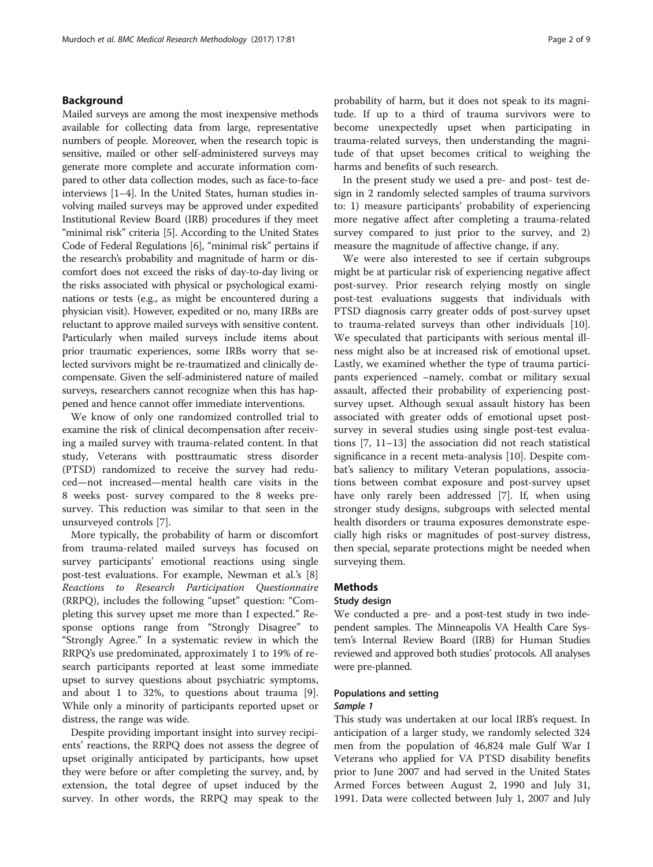# Background

Mailed surveys are among the most inexpensive methods available for collecting data from large, representative numbers of people. Moreover, when the research topic is sensitive, mailed or other self-administered surveys may generate more complete and accurate information compared to other data collection modes, such as face-to-face interviews [\[1](#page-8-0)–[4\]](#page-8-0). In the United States, human studies involving mailed surveys may be approved under expedited Institutional Review Board (IRB) procedures if they meet "minimal risk" criteria [\[5\]](#page-8-0). According to the United States Code of Federal Regulations [\[6](#page-8-0)], "minimal risk" pertains if the research's probability and magnitude of harm or discomfort does not exceed the risks of day-to-day living or the risks associated with physical or psychological examinations or tests (e.g., as might be encountered during a physician visit). However, expedited or no, many IRBs are reluctant to approve mailed surveys with sensitive content. Particularly when mailed surveys include items about prior traumatic experiences, some IRBs worry that selected survivors might be re-traumatized and clinically decompensate. Given the self-administered nature of mailed surveys, researchers cannot recognize when this has happened and hence cannot offer immediate interventions.

We know of only one randomized controlled trial to examine the risk of clinical decompensation after receiving a mailed survey with trauma-related content. In that study, Veterans with posttraumatic stress disorder (PTSD) randomized to receive the survey had reduced—not increased—mental health care visits in the 8 weeks post- survey compared to the 8 weeks presurvey. This reduction was similar to that seen in the unsurveyed controls [[7\]](#page-8-0).

More typically, the probability of harm or discomfort from trauma-related mailed surveys has focused on survey participants' emotional reactions using single post-test evaluations. For example, Newman et al.'s [\[8](#page-8-0)] Reactions to Research Participation Questionnaire (RRPQ), includes the following "upset" question: "Completing this survey upset me more than I expected." Response options range from "Strongly Disagree" to "Strongly Agree." In a systematic review in which the RRPQ's use predominated, approximately 1 to 19% of research participants reported at least some immediate upset to survey questions about psychiatric symptoms, and about 1 to 32%, to questions about trauma [\[9](#page-8-0)]. While only a minority of participants reported upset or distress, the range was wide.

Despite providing important insight into survey recipients' reactions, the RRPQ does not assess the degree of upset originally anticipated by participants, how upset they were before or after completing the survey, and, by extension, the total degree of upset induced by the survey. In other words, the RRPQ may speak to the

probability of harm, but it does not speak to its magnitude. If up to a third of trauma survivors were to become unexpectedly upset when participating in trauma-related surveys, then understanding the magnitude of that upset becomes critical to weighing the harms and benefits of such research.

In the present study we used a pre- and post- test design in 2 randomly selected samples of trauma survivors to: 1) measure participants' probability of experiencing more negative affect after completing a trauma-related survey compared to just prior to the survey, and 2) measure the magnitude of affective change, if any.

We were also interested to see if certain subgroups might be at particular risk of experiencing negative affect post-survey. Prior research relying mostly on single post-test evaluations suggests that individuals with PTSD diagnosis carry greater odds of post-survey upset to trauma-related surveys than other individuals [\[10](#page-8-0)]. We speculated that participants with serious mental illness might also be at increased risk of emotional upset. Lastly, we examined whether the type of trauma participants experienced –namely, combat or military sexual assault, affected their probability of experiencing postsurvey upset. Although sexual assault history has been associated with greater odds of emotional upset postsurvey in several studies using single post-test evaluations [[7, 11](#page-8-0)–[13](#page-8-0)] the association did not reach statistical significance in a recent meta-analysis [[10\]](#page-8-0). Despite combat's saliency to military Veteran populations, associations between combat exposure and post-survey upset have only rarely been addressed [[7\]](#page-8-0). If, when using stronger study designs, subgroups with selected mental health disorders or trauma exposures demonstrate especially high risks or magnitudes of post-survey distress, then special, separate protections might be needed when surveying them.

#### **Methods**

#### Study design

We conducted a pre- and a post-test study in two independent samples. The Minneapolis VA Health Care System's Internal Review Board (IRB) for Human Studies reviewed and approved both studies' protocols. All analyses were pre-planned.

# Populations and setting

#### Sample 1

This study was undertaken at our local IRB's request. In anticipation of a larger study, we randomly selected 324 men from the population of 46,824 male Gulf War I Veterans who applied for VA PTSD disability benefits prior to June 2007 and had served in the United States Armed Forces between August 2, 1990 and July 31, 1991. Data were collected between July 1, 2007 and July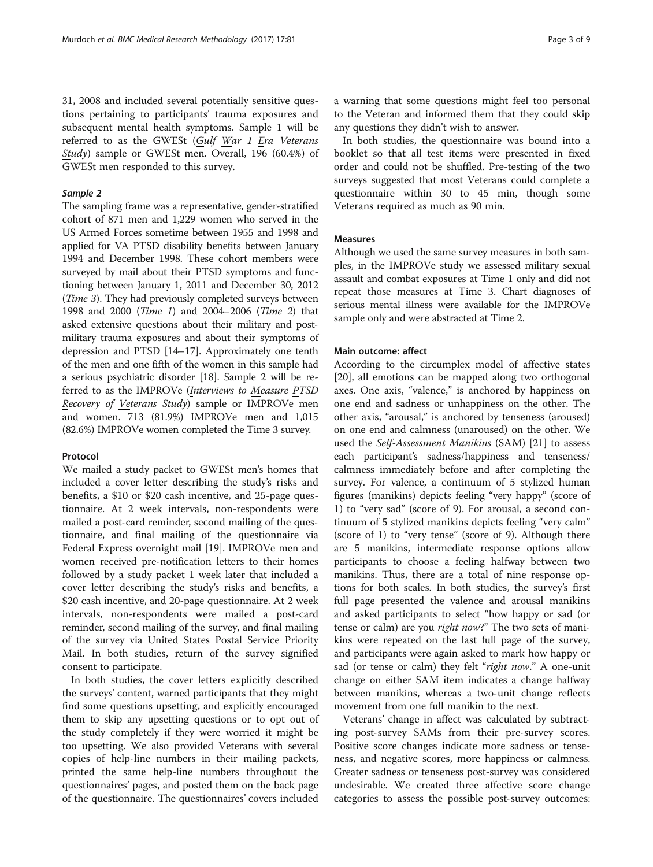31, 2008 and included several potentially sensitive questions pertaining to participants' trauma exposures and subsequent mental health symptoms. Sample 1 will be referred to as the GWESt (Gulf War 1 Era Veterans Study) sample or GWESt men. Overall, 196 (60.4%) of GWESt men responded to this survey.

# Sample 2

The sampling frame was a representative, gender-stratified cohort of 871 men and 1,229 women who served in the US Armed Forces sometime between 1955 and 1998 and applied for VA PTSD disability benefits between January 1994 and December 1998. These cohort members were surveyed by mail about their PTSD symptoms and functioning between January 1, 2011 and December 30, 2012 (Time 3). They had previously completed surveys between 1998 and 2000 (Time 1) and 2004–2006 (Time 2) that asked extensive questions about their military and postmilitary trauma exposures and about their symptoms of depression and PTSD [\[14](#page-8-0)–[17](#page-8-0)]. Approximately one tenth of the men and one fifth of the women in this sample had a serious psychiatric disorder [\[18\]](#page-8-0). Sample 2 will be referred to as the IMPROVe (Interviews to Measure PTSD Recovery of Veterans Study) sample or IMPROVe men and women. 713 (81.9%) IMPROVe men and 1,015 (82.6%) IMPROVe women completed the Time 3 survey.

#### Protocol

We mailed a study packet to GWESt men's homes that included a cover letter describing the study's risks and benefits, a \$10 or \$20 cash incentive, and 25-page questionnaire. At 2 week intervals, non-respondents were mailed a post-card reminder, second mailing of the questionnaire, and final mailing of the questionnaire via Federal Express overnight mail [\[19\]](#page-8-0). IMPROVe men and women received pre-notification letters to their homes followed by a study packet 1 week later that included a cover letter describing the study's risks and benefits, a \$20 cash incentive, and 20-page questionnaire. At 2 week intervals, non-respondents were mailed a post-card reminder, second mailing of the survey, and final mailing of the survey via United States Postal Service Priority Mail. In both studies, return of the survey signified consent to participate.

In both studies, the cover letters explicitly described the surveys' content, warned participants that they might find some questions upsetting, and explicitly encouraged them to skip any upsetting questions or to opt out of the study completely if they were worried it might be too upsetting. We also provided Veterans with several copies of help-line numbers in their mailing packets, printed the same help-line numbers throughout the questionnaires' pages, and posted them on the back page of the questionnaire. The questionnaires' covers included a warning that some questions might feel too personal to the Veteran and informed them that they could skip any questions they didn't wish to answer.

In both studies, the questionnaire was bound into a booklet so that all test items were presented in fixed order and could not be shuffled. Pre-testing of the two surveys suggested that most Veterans could complete a questionnaire within 30 to 45 min, though some Veterans required as much as 90 min.

# Measures

Although we used the same survey measures in both samples, in the IMPROVe study we assessed military sexual assault and combat exposures at Time 1 only and did not repeat those measures at Time 3. Chart diagnoses of serious mental illness were available for the IMPROVe sample only and were abstracted at Time 2.

# Main outcome: affect

According to the circumplex model of affective states [[20\]](#page-8-0), all emotions can be mapped along two orthogonal axes. One axis, "valence," is anchored by happiness on one end and sadness or unhappiness on the other. The other axis, "arousal," is anchored by tenseness (aroused) on one end and calmness (unaroused) on the other. We used the Self-Assessment Manikins (SAM) [\[21\]](#page-8-0) to assess each participant's sadness/happiness and tenseness/ calmness immediately before and after completing the survey. For valence, a continuum of 5 stylized human figures (manikins) depicts feeling "very happy" (score of 1) to "very sad" (score of 9). For arousal, a second continuum of 5 stylized manikins depicts feeling "very calm" (score of 1) to "very tense" (score of 9). Although there are 5 manikins, intermediate response options allow participants to choose a feeling halfway between two manikins. Thus, there are a total of nine response options for both scales. In both studies, the survey's first full page presented the valence and arousal manikins and asked participants to select "how happy or sad (or tense or calm) are you *right now*?" The two sets of manikins were repeated on the last full page of the survey, and participants were again asked to mark how happy or sad (or tense or calm) they felt "right now." A one-unit change on either SAM item indicates a change halfway between manikins, whereas a two-unit change reflects movement from one full manikin to the next.

Veterans' change in affect was calculated by subtracting post-survey SAMs from their pre-survey scores. Positive score changes indicate more sadness or tenseness, and negative scores, more happiness or calmness. Greater sadness or tenseness post-survey was considered undesirable. We created three affective score change categories to assess the possible post-survey outcomes: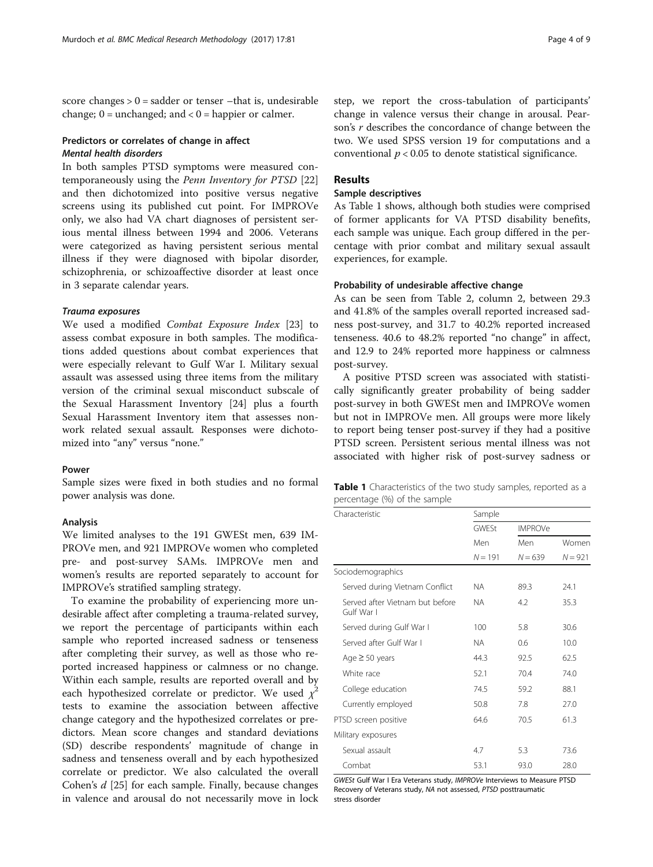score changes  $> 0$  = sadder or tenser –that is, undesirable change;  $0 =$  unchanged; and  $< 0 =$  happier or calmer.

# Predictors or correlates of change in affect Mental health disorders

In both samples PTSD symptoms were measured contemporaneously using the Penn Inventory for PTSD [[22](#page-8-0)] and then dichotomized into positive versus negative screens using its published cut point. For IMPROVe only, we also had VA chart diagnoses of persistent serious mental illness between 1994 and 2006. Veterans were categorized as having persistent serious mental illness if they were diagnosed with bipolar disorder, schizophrenia, or schizoaffective disorder at least once in 3 separate calendar years.

#### Trauma exposures

We used a modified Combat Exposure Index [[23\]](#page-8-0) to assess combat exposure in both samples. The modifications added questions about combat experiences that were especially relevant to Gulf War I. Military sexual assault was assessed using three items from the military version of the criminal sexual misconduct subscale of the Sexual Harassment Inventory [\[24](#page-8-0)] plus a fourth Sexual Harassment Inventory item that assesses nonwork related sexual assault. Responses were dichotomized into "any" versus "none."

# Power

Sample sizes were fixed in both studies and no formal power analysis was done.

#### Analysis

We limited analyses to the 191 GWESt men, 639 IM-PROVe men, and 921 IMPROVe women who completed pre- and post-survey SAMs. IMPROVe men and women's results are reported separately to account for IMPROVe's stratified sampling strategy.

To examine the probability of experiencing more undesirable affect after completing a trauma-related survey, we report the percentage of participants within each sample who reported increased sadness or tenseness after completing their survey, as well as those who reported increased happiness or calmness or no change. Within each sample, results are reported overall and by each hypothesized correlate or predictor. We used  $\chi^2$ tests to examine the association between affective change category and the hypothesized correlates or predictors. Mean score changes and standard deviations (SD) describe respondents' magnitude of change in sadness and tenseness overall and by each hypothesized correlate or predictor. We also calculated the overall Cohen's d [[25](#page-8-0)] for each sample. Finally, because changes in valence and arousal do not necessarily move in lock

step, we report the cross-tabulation of participants' change in valence versus their change in arousal. Pearson's r describes the concordance of change between the two. We used SPSS version 19 for computations and a conventional  $p < 0.05$  to denote statistical significance.

# Results

## Sample descriptives

As Table 1 shows, although both studies were comprised of former applicants for VA PTSD disability benefits, each sample was unique. Each group differed in the percentage with prior combat and military sexual assault experiences, for example.

# Probability of undesirable affective change

As can be seen from Table [2](#page-5-0), column 2, between 29.3 and 41.8% of the samples overall reported increased sadness post-survey, and 31.7 to 40.2% reported increased tenseness. 40.6 to 48.2% reported "no change" in affect, and 12.9 to 24% reported more happiness or calmness post-survey.

A positive PTSD screen was associated with statistically significantly greater probability of being sadder post-survey in both GWESt men and IMPROVe women but not in IMPROVe men. All groups were more likely to report being tenser post-survey if they had a positive PTSD screen. Persistent serious mental illness was not associated with higher risk of post-survey sadness or

|                              | <b>Table 1</b> Characteristics of the two study samples, reported as a |  |
|------------------------------|------------------------------------------------------------------------|--|
| percentage (%) of the sample |                                                                        |  |

| Characteristic                                | Sample       |                |           |  |  |  |  |
|-----------------------------------------------|--------------|----------------|-----------|--|--|--|--|
|                                               | <b>GWFSt</b> | <b>IMPROVe</b> |           |  |  |  |  |
|                                               | Men          | Men            | Women     |  |  |  |  |
|                                               | $N = 191$    | $N = 639$      | $N = 921$ |  |  |  |  |
| Sociodemographics                             |              |                |           |  |  |  |  |
| Served during Vietnam Conflict                | ΝA           | 89.3           | 24.1      |  |  |  |  |
| Served after Vietnam but before<br>Gulf War I | ΝA           | 4.2            | 35.3      |  |  |  |  |
| Served during Gulf War I                      | 100          | 5.8            | 30.6      |  |  |  |  |
| Served after Gulf War I                       | ΝA           | 0.6            | 10.0      |  |  |  |  |
| Age $\geq$ 50 years                           | 44.3         | 92.5           | 62.5      |  |  |  |  |
| White race                                    | 52.1         | 70.4           | 74.0      |  |  |  |  |
| College education                             | 74.5         | 59.2           | 88.1      |  |  |  |  |
| Currently employed                            | 50.8         | 7.8            | 27.0      |  |  |  |  |
| PTSD screen positive                          | 64.6         | 70.5           | 61.3      |  |  |  |  |
| Military exposures                            |              |                |           |  |  |  |  |
| Sexual assault                                | 4.7          | 5.3            | 73.6      |  |  |  |  |
| Combat                                        | 53.1         | 93.0           | 28.0      |  |  |  |  |

GWESt Gulf War I Era Veterans study, IMPROVe Interviews to Measure PTSD Recovery of Veterans study, NA not assessed, PTSD posttraumatic stress disorder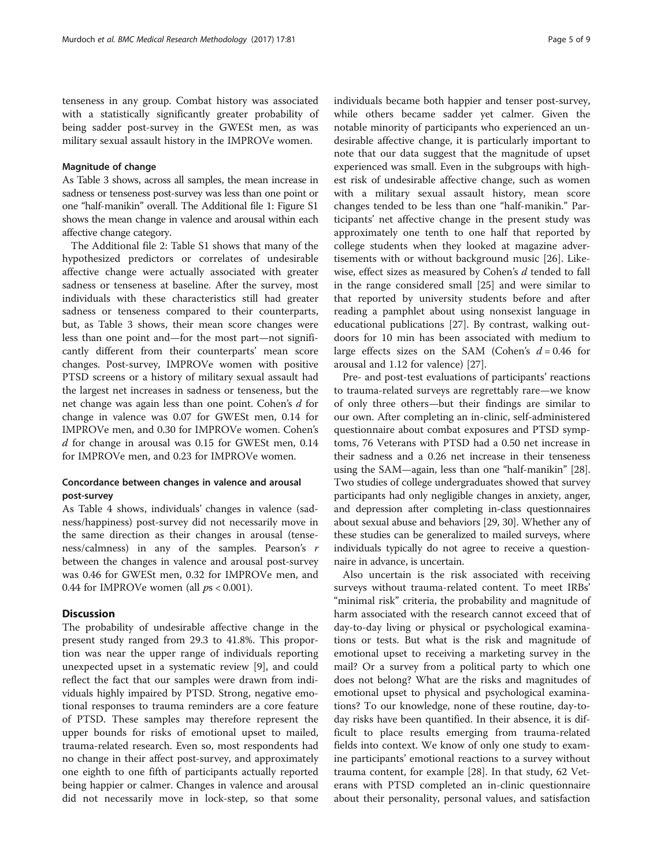tenseness in any group. Combat history was associated with a statistically significantly greater probability of being sadder post-survey in the GWESt men, as was military sexual assault history in the IMPROVe women.

#### Magnitude of change

As Table [3](#page-6-0) shows, across all samples, the mean increase in sadness or tenseness post-survey was less than one point or one "half-manikin" overall. The Additional file [1:](#page-7-0) Figure S1 shows the mean change in valence and arousal within each affective change category.

The Additional file [2:](#page-7-0) Table S1 shows that many of the hypothesized predictors or correlates of undesirable affective change were actually associated with greater sadness or tenseness at baseline. After the survey, most individuals with these characteristics still had greater sadness or tenseness compared to their counterparts, but, as Table [3](#page-6-0) shows, their mean score changes were less than one point and—for the most part—not significantly different from their counterparts' mean score changes. Post-survey, IMPROVe women with positive PTSD screens or a history of military sexual assault had the largest net increases in sadness or tenseness, but the net change was again less than one point. Cohen's d for change in valence was 0.07 for GWESt men, 0.14 for IMPROVe men, and 0.30 for IMPROVe women. Cohen's d for change in arousal was 0.15 for GWESt men, 0.14 for IMPROVe men, and 0.23 for IMPROVe women.

# Concordance between changes in valence and arousal post-survey

As Table [4](#page-6-0) shows, individuals' changes in valence (sadness/happiness) post-survey did not necessarily move in the same direction as their changes in arousal (tenseness/calmness) in any of the samples. Pearson's r between the changes in valence and arousal post-survey was 0.46 for GWESt men, 0.32 for IMPROVe men, and 0.44 for IMPROVe women (all  $ps < 0.001$ ).

# **Discussion**

The probability of undesirable affective change in the present study ranged from 29.3 to 41.8%. This proportion was near the upper range of individuals reporting unexpected upset in a systematic review [\[9](#page-8-0)], and could reflect the fact that our samples were drawn from individuals highly impaired by PTSD. Strong, negative emotional responses to trauma reminders are a core feature of PTSD. These samples may therefore represent the upper bounds for risks of emotional upset to mailed, trauma-related research. Even so, most respondents had no change in their affect post-survey, and approximately one eighth to one fifth of participants actually reported being happier or calmer. Changes in valence and arousal did not necessarily move in lock-step, so that some individuals became both happier and tenser post-survey, while others became sadder yet calmer. Given the notable minority of participants who experienced an undesirable affective change, it is particularly important to note that our data suggest that the magnitude of upset experienced was small. Even in the subgroups with highest risk of undesirable affective change, such as women with a military sexual assault history, mean score changes tended to be less than one "half-manikin." Participants' net affective change in the present study was approximately one tenth to one half that reported by college students when they looked at magazine advertisements with or without background music [[26\]](#page-8-0). Likewise, effect sizes as measured by Cohen's d tended to fall in the range considered small [\[25](#page-8-0)] and were similar to that reported by university students before and after reading a pamphlet about using nonsexist language in educational publications [[27\]](#page-8-0). By contrast, walking outdoors for 10 min has been associated with medium to large effects sizes on the SAM (Cohen's  $d = 0.46$  for arousal and 1.12 for valence) [[27\]](#page-8-0).

Pre- and post-test evaluations of participants' reactions to trauma-related surveys are regrettably rare—we know of only three others—but their findings are similar to our own. After completing an in-clinic, self-administered questionnaire about combat exposures and PTSD symptoms, 76 Veterans with PTSD had a 0.50 net increase in their sadness and a 0.26 net increase in their tenseness using the SAM—again, less than one "half-manikin" [[28](#page-8-0)]. Two studies of college undergraduates showed that survey participants had only negligible changes in anxiety, anger, and depression after completing in-class questionnaires about sexual abuse and behaviors [\[29, 30](#page-8-0)]. Whether any of these studies can be generalized to mailed surveys, where individuals typically do not agree to receive a questionnaire in advance, is uncertain.

Also uncertain is the risk associated with receiving surveys without trauma-related content. To meet IRBs' "minimal risk" criteria, the probability and magnitude of harm associated with the research cannot exceed that of day-to-day living or physical or psychological examinations or tests. But what is the risk and magnitude of emotional upset to receiving a marketing survey in the mail? Or a survey from a political party to which one does not belong? What are the risks and magnitudes of emotional upset to physical and psychological examinations? To our knowledge, none of these routine, day-today risks have been quantified. In their absence, it is difficult to place results emerging from trauma-related fields into context. We know of only one study to examine participants' emotional reactions to a survey without trauma content, for example [[28\]](#page-8-0). In that study, 62 Veterans with PTSD completed an in-clinic questionnaire about their personality, personal values, and satisfaction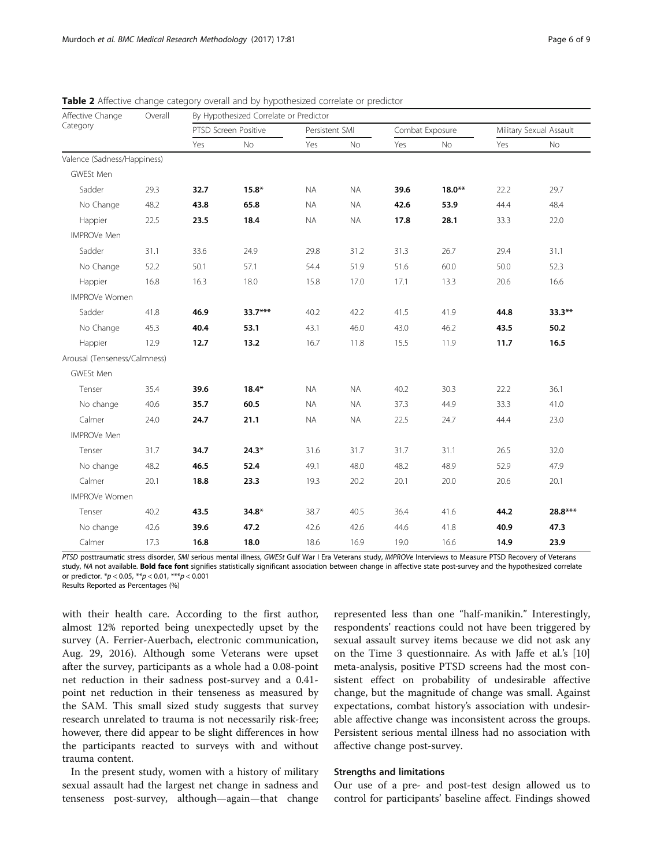| Affective Change<br>Category | Overall | By Hypothesized Correlate or Predictor |         |           |                |      |                 |      |                         |  |  |  |
|------------------------------|---------|----------------------------------------|---------|-----------|----------------|------|-----------------|------|-------------------------|--|--|--|
|                              |         | PTSD Screen Positive                   |         |           | Persistent SMI |      | Combat Exposure |      | Military Sexual Assault |  |  |  |
|                              |         | Yes                                    | No      | Yes       | No             | Yes  | No              | Yes  | No                      |  |  |  |
| Valence (Sadness/Happiness)  |         |                                        |         |           |                |      |                 |      |                         |  |  |  |
| GWESt Men                    |         |                                        |         |           |                |      |                 |      |                         |  |  |  |
| Sadder                       | 29.3    | 32.7                                   | $15.8*$ | <b>NA</b> | <b>NA</b>      | 39.6 | $18.0**$        | 22.2 | 29.7                    |  |  |  |
| No Change                    | 48.2    | 43.8                                   | 65.8    | <b>NA</b> | <b>NA</b>      | 42.6 | 53.9            | 44.4 | 48.4                    |  |  |  |
| Happier                      | 22.5    | 23.5                                   | 18.4    | <b>NA</b> | <b>NA</b>      | 17.8 | 28.1            | 33.3 | 22.0                    |  |  |  |
| <b>IMPROVe Men</b>           |         |                                        |         |           |                |      |                 |      |                         |  |  |  |
| Sadder                       | 31.1    | 33.6                                   | 24.9    | 29.8      | 31.2           | 31.3 | 26.7            | 29.4 | 31.1                    |  |  |  |
| No Change                    | 52.2    | 50.1                                   | 57.1    | 54.4      | 51.9           | 51.6 | 60.0            | 50.0 | 52.3                    |  |  |  |
| Happier                      | 16.8    | 16.3                                   | 18.0    | 15.8      | 17.0           | 17.1 | 13.3            | 20.6 | 16.6                    |  |  |  |
| <b>IMPROVe Women</b>         |         |                                        |         |           |                |      |                 |      |                         |  |  |  |
| Sadder                       | 41.8    | 46.9                                   | 33.7*** | 40.2      | 42.2           | 41.5 | 41.9            | 44.8 | 33.3**                  |  |  |  |
| No Change                    | 45.3    | 40.4                                   | 53.1    | 43.1      | 46.0           | 43.0 | 46.2            | 43.5 | 50.2                    |  |  |  |
| Happier                      | 12.9    | 12.7                                   | 13.2    | 16.7      | 11.8           | 15.5 | 11.9            | 11.7 | 16.5                    |  |  |  |
| Arousal (Tenseness/Calmness) |         |                                        |         |           |                |      |                 |      |                         |  |  |  |
| GWESt Men                    |         |                                        |         |           |                |      |                 |      |                         |  |  |  |
| Tenser                       | 35.4    | 39.6                                   | $18.4*$ | <b>NA</b> | <b>NA</b>      | 40.2 | 30.3            | 22.2 | 36.1                    |  |  |  |
| No change                    | 40.6    | 35.7                                   | 60.5    | <b>NA</b> | <b>NA</b>      | 37.3 | 44.9            | 33.3 | 41.0                    |  |  |  |
| Calmer                       | 24.0    | 24.7                                   | 21.1    | <b>NA</b> | <b>NA</b>      | 22.5 | 24.7            | 44.4 | 23.0                    |  |  |  |
| <b>IMPROVe Men</b>           |         |                                        |         |           |                |      |                 |      |                         |  |  |  |
| Tenser                       | 31.7    | 34.7                                   | $24.3*$ | 31.6      | 31.7           | 31.7 | 31.1            | 26.5 | 32.0                    |  |  |  |
| No change                    | 48.2    | 46.5                                   | 52.4    | 49.1      | 48.0           | 48.2 | 48.9            | 52.9 | 47.9                    |  |  |  |
| Calmer                       | 20.1    | 18.8                                   | 23.3    | 19.3      | 20.2           | 20.1 | 20.0            | 20.6 | 20.1                    |  |  |  |
| <b>IMPROVe Women</b>         |         |                                        |         |           |                |      |                 |      |                         |  |  |  |
| Tenser                       | 40.2    | 43.5                                   | 34.8*   | 38.7      | 40.5           | 36.4 | 41.6            | 44.2 | 28.8***                 |  |  |  |
| No change                    | 42.6    | 39.6                                   | 47.2    | 42.6      | 42.6           | 44.6 | 41.8            | 40.9 | 47.3                    |  |  |  |
| Calmer                       | 17.3    | 16.8                                   | 18.0    | 18.6      | 16.9           | 19.0 | 16.6            | 14.9 | 23.9                    |  |  |  |

<span id="page-5-0"></span>**Table 2** Affective change category overall and by hypothesized correlate or predictor

PTSD posttraumatic stress disorder, SMI serious mental illness, GWESt Gulf War I Era Veterans study, IMPROVe Interviews to Measure PTSD Recovery of Veterans study, NA not available. Bold face font signifies statistically significant association between change in affective state post-survey and the hypothesized correlate or predictor.  $p < 0.05$ ,  $p > 0.01$ ,  $p > 0.001$ 

Results Reported as Percentages (%)

with their health care. According to the first author, almost 12% reported being unexpectedly upset by the survey (A. Ferrier-Auerbach, electronic communication, Aug. 29, 2016). Although some Veterans were upset after the survey, participants as a whole had a 0.08-point net reduction in their sadness post-survey and a 0.41 point net reduction in their tenseness as measured by the SAM. This small sized study suggests that survey research unrelated to trauma is not necessarily risk-free; however, there did appear to be slight differences in how the participants reacted to surveys with and without trauma content.

In the present study, women with a history of military sexual assault had the largest net change in sadness and tenseness post-survey, although—again—that change represented less than one "half-manikin." Interestingly, respondents' reactions could not have been triggered by sexual assault survey items because we did not ask any on the Time 3 questionnaire. As with Jaffe et al.'s [[10](#page-8-0)] meta-analysis, positive PTSD screens had the most consistent effect on probability of undesirable affective change, but the magnitude of change was small. Against expectations, combat history's association with undesirable affective change was inconsistent across the groups. Persistent serious mental illness had no association with affective change post-survey.

## Strengths and limitations

Our use of a pre- and post-test design allowed us to control for participants' baseline affect. Findings showed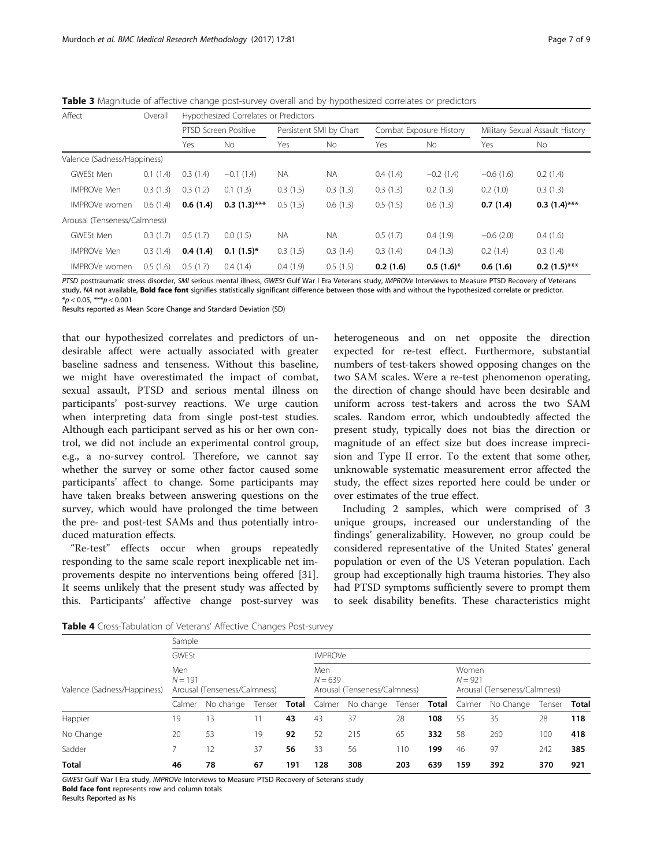| Affect                       | Overall  | Hypothesized Correlates or Predictors |                |                         |           |                         |              |                                 |                |  |  |  |
|------------------------------|----------|---------------------------------------|----------------|-------------------------|-----------|-------------------------|--------------|---------------------------------|----------------|--|--|--|
|                              |          | PTSD Screen Positive                  |                | Persistent SMI by Chart |           | Combat Exposure History |              | Military Sexual Assault History |                |  |  |  |
|                              |          | Yes                                   | <b>No</b>      | Yes                     | No.       | Yes                     | <b>No</b>    | Yes                             | No.            |  |  |  |
| Valence (Sadness/Happiness)  |          |                                       |                |                         |           |                         |              |                                 |                |  |  |  |
| GWESt Men                    | 0.1(1.4) | 0.3(1.4)                              | $-0.1(1.4)$    | <b>NA</b>               | <b>NA</b> | 0.4(1.4)                | $-0.2(1.4)$  | $-0.6(1.6)$                     | 0.2(1.4)       |  |  |  |
| <b>IMPROVe Men</b>           | 0.3(1.3) | 0.3(1.2)                              | (1.3)<br>0.1   | 0.3(1.5)                | 0.3(1.3)  | 0.3(1.3)                | 0.2(1.3)     | 0.2(1.0)                        | 0.3(1.3)       |  |  |  |
| IMPROVe women                | 0.6(1.4) | 0.6(1.4)                              | $0.3(1.3)$ *** | 0.5(1.5)                | 0.6(1.3)  | 0.5(1.5)                | 0.6(1.3)     | 0.7(1.4)                        | $0.3(1.4)$ *** |  |  |  |
| Arousal (Tenseness/Calmness) |          |                                       |                |                         |           |                         |              |                                 |                |  |  |  |
| GWESt Men                    | 0.3(1.7) | 0.5(1.7)                              | 0.0(1.5)       | <b>NA</b>               | NA.       | 0.5(1.7)                | 0.4(1.9)     | $-0.6(2.0)$                     | 0.4(1.6)       |  |  |  |
| <b>IMPROVe Men</b>           | 0.3(1.4) | 0.4(1.4)                              | $0.1(1.5)^*$   | 0.3(1.5)                | 0.3(1.4)  | 0.3(1.4)                | 0.4(1.3)     | 0.2(1.4)                        | 0.3(1.4)       |  |  |  |
| <b>IMPROVe women</b>         | 0.5(1.6) | 0.5(1.7)                              | 0.4(1.4)       | 0.4(1.9)                | 0.5(1.5)  | 0.2(1.6)                | $0.5(1.6)^*$ | 0.6(1.6)                        | $0.2(1.5)$ *** |  |  |  |

<span id="page-6-0"></span>Table 3 Magnitude of affective change post-survey overall and by hypothesized correlates or predictors

PTSD posttraumatic stress disorder, SMI serious mental illness, GWESt Gulf War I Era Veterans study, IMPROVe Interviews to Measure PTSD Recovery of Veterans study, NA not available, **Bold face font** signifies statistically significant difference between those with and without the hypothesized correlate or predictor.  $**p* < 0.05, ***p* < 0.001$ 

Results reported as Mean Score Change and Standard Deviation (SD)

that our hypothesized correlates and predictors of undesirable affect were actually associated with greater baseline sadness and tenseness. Without this baseline, we might have overestimated the impact of combat, sexual assault, PTSD and serious mental illness on participants' post-survey reactions. We urge caution when interpreting data from single post-test studies. Although each participant served as his or her own control, we did not include an experimental control group, e.g., a no-survey control. Therefore, we cannot say whether the survey or some other factor caused some participants' affect to change. Some participants may have taken breaks between answering questions on the survey, which would have prolonged the time between the pre- and post-test SAMs and thus potentially introduced maturation effects.

"Re-test" effects occur when groups repeatedly responding to the same scale report inexplicable net improvements despite no interventions being offered [\[31](#page-8-0)]. It seems unlikely that the present study was affected by this. Participants' affective change post-survey was heterogeneous and on net opposite the direction expected for re-test effect. Furthermore, substantial numbers of test-takers showed opposing changes on the two SAM scales. Were a re-test phenomenon operating, the direction of change should have been desirable and uniform across test-takers and across the two SAM scales. Random error, which undoubtedly affected the present study, typically does not bias the direction or magnitude of an effect size but does increase imprecision and Type II error. To the extent that some other, unknowable systematic measurement error affected the study, the effect sizes reported here could be under or over estimates of the true effect.

Including 2 samples, which were comprised of 3 unique groups, increased our understanding of the findings' generalizability. However, no group could be considered representative of the United States' general population or even of the US Veteran population. Each group had exceptionally high trauma histories. They also had PTSD symptoms sufficiently severe to prompt them to seek disability benefits. These characteristics might

|                             | Sample                                           |           |        |                |                                                  |           |     |     |                                                    |           |        |              |
|-----------------------------|--------------------------------------------------|-----------|--------|----------------|--------------------------------------------------|-----------|-----|-----|----------------------------------------------------|-----------|--------|--------------|
|                             | GWESt                                            |           |        | <b>IMPROVe</b> |                                                  |           |     |     |                                                    |           |        |              |
| Valence (Sadness/Happiness) | Men<br>$N = 191$<br>Arousal (Tenseness/Calmness) |           |        |                | Men<br>$N = 639$<br>Arousal (Tenseness/Calmness) |           |     |     | Women<br>$N = 921$<br>Arousal (Tenseness/Calmness) |           |        |              |
|                             | Calmer                                           | No change | Tenser | Total          | Calmer                                           | No change |     |     | Tenser <b>Total</b> Calmer                         | No Change | Tenser | <b>Total</b> |
| Happier                     | 19                                               | 13        |        | 43             | 43                                               | 37        | 28  | 108 | 55                                                 | 35        | 28     | 118          |
| No Change                   | 20                                               | 53        | 19     | 92             | 52                                               | 215       | 65  | 332 | 58                                                 | 260       | 100    | 418          |
| Sadder                      |                                                  | 12        | 37     | 56             | 33                                               | 56        | 110 | 199 | 46                                                 | 97        | 242    | 385          |
| <b>Total</b>                | 46                                               | 78        | 67     | 191            | 128                                              | 308       | 203 | 639 | 159                                                | 392       | 370    | 921          |

Table 4 Cross-Tabulation of Veterans' Affective Changes Post-survey

GWESt Gulf War I Era study, IMPROVe Interviews to Measure PTSD Recovery of Seterans study Bold face font represents row and column totals

Results Reported as Ns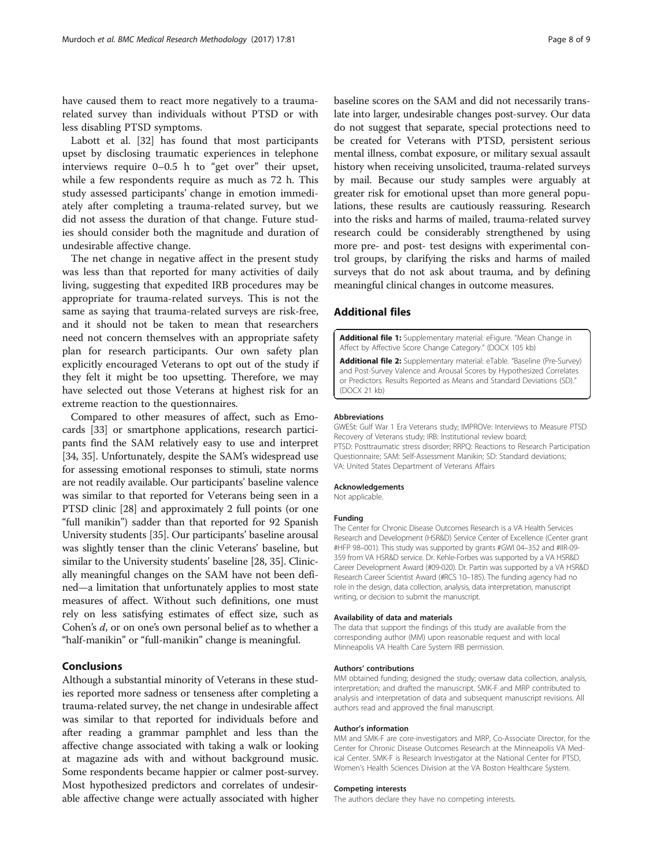<span id="page-7-0"></span>have caused them to react more negatively to a traumarelated survey than individuals without PTSD or with less disabling PTSD symptoms.

Labott et al. [[32\]](#page-8-0) has found that most participants upset by disclosing traumatic experiences in telephone interviews require 0–0.5 h to "get over" their upset, while a few respondents require as much as 72 h. This study assessed participants' change in emotion immediately after completing a trauma-related survey, but we did not assess the duration of that change. Future studies should consider both the magnitude and duration of undesirable affective change.

The net change in negative affect in the present study was less than that reported for many activities of daily living, suggesting that expedited IRB procedures may be appropriate for trauma-related surveys. This is not the same as saying that trauma-related surveys are risk-free, and it should not be taken to mean that researchers need not concern themselves with an appropriate safety plan for research participants. Our own safety plan explicitly encouraged Veterans to opt out of the study if they felt it might be too upsetting. Therefore, we may have selected out those Veterans at highest risk for an extreme reaction to the questionnaires.

Compared to other measures of affect, such as Emocards [[33](#page-8-0)] or smartphone applications, research participants find the SAM relatively easy to use and interpret [[34](#page-8-0), [35](#page-8-0)]. Unfortunately, despite the SAM's widespread use for assessing emotional responses to stimuli, state norms are not readily available. Our participants' baseline valence was similar to that reported for Veterans being seen in a PTSD clinic [\[28\]](#page-8-0) and approximately 2 full points (or one "full manikin") sadder than that reported for 92 Spanish University students [\[35\]](#page-8-0). Our participants' baseline arousal was slightly tenser than the clinic Veterans' baseline, but similar to the University students' baseline [[28](#page-8-0), [35\]](#page-8-0). Clinically meaningful changes on the SAM have not been defined—a limitation that unfortunately applies to most state measures of affect. Without such definitions, one must rely on less satisfying estimates of effect size, such as Cohen's d, or on one's own personal belief as to whether a "half-manikin" or "full-manikin" change is meaningful.

# Conclusions

Although a substantial minority of Veterans in these studies reported more sadness or tenseness after completing a trauma-related survey, the net change in undesirable affect was similar to that reported for individuals before and after reading a grammar pamphlet and less than the affective change associated with taking a walk or looking at magazine ads with and without background music. Some respondents became happier or calmer post-survey. Most hypothesized predictors and correlates of undesirable affective change were actually associated with higher

baseline scores on the SAM and did not necessarily translate into larger, undesirable changes post-survey. Our data do not suggest that separate, special protections need to be created for Veterans with PTSD, persistent serious mental illness, combat exposure, or military sexual assault history when receiving unsolicited, trauma-related surveys by mail. Because our study samples were arguably at greater risk for emotional upset than more general populations, these results are cautiously reassuring. Research into the risks and harms of mailed, trauma-related survey research could be considerably strengthened by using more pre- and post- test designs with experimental control groups, by clarifying the risks and harms of mailed surveys that do not ask about trauma, and by defining meaningful clinical changes in outcome measures.

# Additional files

[Additional file 1:](dx.doi.org/10.1186/s12874-017-0357-x) Supplementary material: eFigure. "Mean Change in Affect by Affective Score Change Category." (DOCX 105 kb)

[Additional file 2:](dx.doi.org/10.1186/s12874-017-0357-x) Supplementary material: eTable. "Baseline (Pre-Survey) and Post-Survey Valence and Arousal Scores by Hypothesized Correlates or Predictors. Results Reported as Means and Standard Deviations (SD)." (DOCX 21 kb)

#### Abbreviations

GWESt: Gulf War 1 Era Veterans study; IMPROVe: Interviews to Measure PTSD Recovery of Veterans study; IRB: Institutional review board; PTSD: Posttraumatic stress disorder; RRPQ: Reactions to Research Participation Questionnaire; SAM: Self-Assessment Manikin; SD: Standard deviations; VA: United States Department of Veterans Affairs

#### Acknowledgements

Not applicable.

#### Funding

The Center for Chronic Disease Outcomes Research is a VA Health Services Research and Development (HSR&D) Service Center of Excellence (Center grant #HFP 98–001). This study was supported by grants #GWI 04–352 and #IIR-09- 359 from VA HSR&D service. Dr. Kehle-Forbes was supported by a VA HSR&D Career Development Award (#09-020). Dr. Partin was supported by a VA HSR&D Research Career Scientist Award (#RCS 10–185). The funding agency had no role in the design, data collection, analysis, data interpretation, manuscript writing, or decision to submit the manuscript.

#### Availability of data and materials

The data that support the findings of this study are available from the corresponding author (MM) upon reasonable request and with local Minneapolis VA Health Care System IRB permission.

#### Authors' contributions

MM obtained funding; designed the study; oversaw data collection, analysis, interpretation; and drafted the manuscript. SMK-F and MRP contributed to analysis and interpretation of data and subsequent manuscript revisions. All authors read and approved the final manuscript.

#### Author's information

MM and SMK-F are core-investigators and MRP, Co-Associate Director, for the Center for Chronic Disease Outcomes Research at the Minneapolis VA Medical Center. SMK-F is Research Investigator at the National Center for PTSD, Women's Health Sciences Division at the VA Boston Healthcare System.

#### Competing interests

The authors declare they have no competing interests.